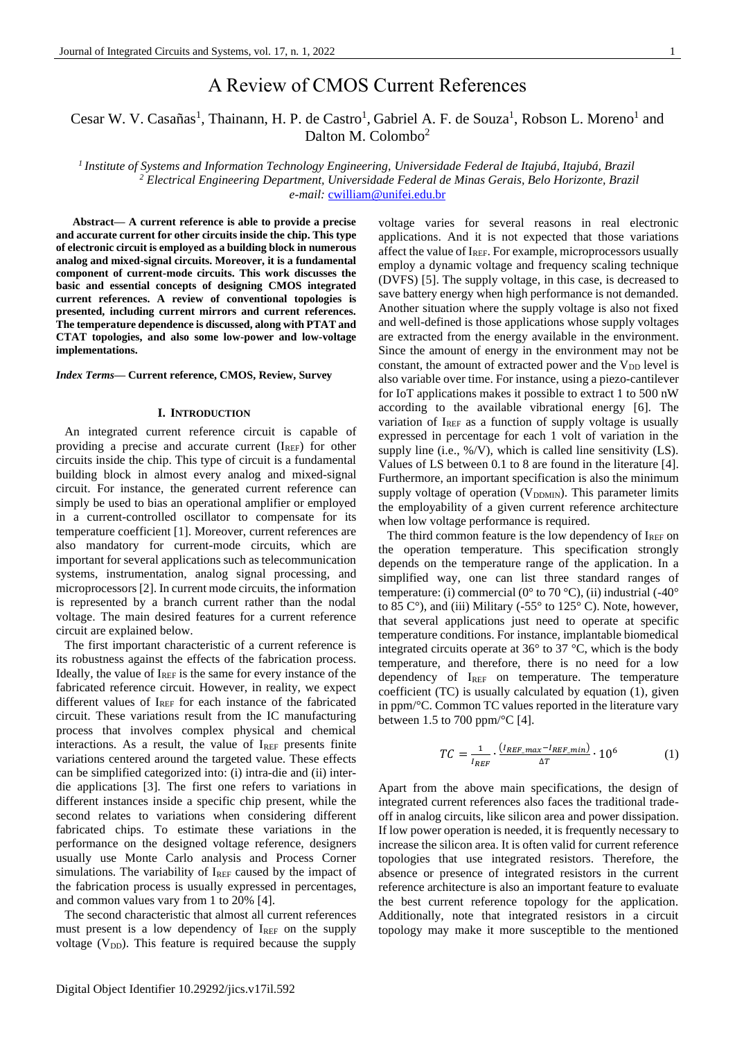# A Review of CMOS Current References

Cesar W. V. Casañas<sup>1</sup>, Thainann, H. P. de Castro<sup>1</sup>, Gabriel A. F. de Souza<sup>1</sup>, Robson L. Moreno<sup>1</sup> and Dalton M. Colombo<sup>2</sup>

*<sup>1</sup>Institute of Systems and Information Technology Engineering, Universidade Federal de Itajubá, Itajubá, Brazil <sup>2</sup> Electrical Engineering Department, Universidade Federal de Minas Gerais, Belo Horizonte, Brazil e-mail:* [cwilliam@unifei.edu.br](mailto:cwilliam@unifei.edu.br)

**Abstract— A current reference is able to provide a precise and accurate current for other circuits inside the chip. This type of electronic circuit is employed as a building block in numerous analog and mixed-signal circuits. Moreover, it is a fundamental component of current-mode circuits. This work discusses the basic and essential concepts of designing CMOS integrated current references. A review of conventional topologies is presented, including current mirrors and current references. The temperature dependence is discussed, along with PTAT and CTAT topologies, and also some low-power and low-voltage implementations.** 

## *Index Terms***— Current reference, CMOS, Review, Survey**

## **I. INTRODUCTION**

An integrated current reference circuit is capable of providing a precise and accurate current  $(I<sub>REF</sub>)$  for other circuits inside the chip. This type of circuit is a fundamental building block in almost every analog and mixed-signal circuit. For instance, the generated current reference can simply be used to bias an operational amplifier or employed in a current-controlled oscillator to compensate for its temperature coefficient [1]. Moreover, current references are also mandatory for current-mode circuits, which are important for several applications such as telecommunication systems, instrumentation, analog signal processing, and microprocessors[2]. In current mode circuits, the information is represented by a branch current rather than the nodal voltage. The main desired features for a current reference circuit are explained below.

The first important characteristic of a current reference is its robustness against the effects of the fabrication process. Ideally, the value of  $I_{REF}$  is the same for every instance of the fabricated reference circuit. However, in reality, we expect different values of  $I_{REF}$  for each instance of the fabricated circuit. These variations result from the IC manufacturing process that involves complex physical and chemical interactions. As a result, the value of  $I_{REF}$  presents finite variations centered around the targeted value. These effects can be simplified categorized into: (i) intra-die and (ii) interdie applications [3]. The first one refers to variations in different instances inside a specific chip present, while the second relates to variations when considering different fabricated chips. To estimate these variations in the performance on the designed voltage reference, designers usually use Monte Carlo analysis and Process Corner simulations. The variability of  $I_{REF}$  caused by the impact of the fabrication process is usually expressed in percentages, and common values vary from 1 to 20% [4].

The second characteristic that almost all current references must present is a low dependency of  $I_{REF}$  on the supply voltage  $(V_{DD})$ . This feature is required because the supply

voltage varies for several reasons in real electronic applications. And it is not expected that those variations affect the value of  $I_{REF}$ . For example, microprocessors usually employ a dynamic voltage and frequency scaling technique (DVFS) [5]. The supply voltage, in this case, is decreased to save battery energy when high performance is not demanded. Another situation where the supply voltage is also not fixed and well-defined is those applications whose supply voltages are extracted from the energy available in the environment. Since the amount of energy in the environment may not be constant, the amount of extracted power and the  $V_{DD}$  level is also variable over time. For instance, using a piezo-cantilever for IoT applications makes it possible to extract 1 to 500 nW according to the available vibrational energy [6]. The variation of IREF as a function of supply voltage is usually expressed in percentage for each 1 volt of variation in the supply line (i.e.,  $\%$ /V), which is called line sensitivity (LS). Values of LS between 0.1 to 8 are found in the literature [4]. Furthermore, an important specification is also the minimum supply voltage of operation  $(V_{DDMIN})$ . This parameter limits the employability of a given current reference architecture when low voltage performance is required.

The third common feature is the low dependency of  $I_{REF}$  on the operation temperature. This specification strongly depends on the temperature range of the application. In a simplified way, one can list three standard ranges of temperature: (i) commercial ( $0^{\circ}$  to 70  $^{\circ}$ C), (ii) industrial (-40 $^{\circ}$ ) to 85  $C^{\circ}$ ), and (iii) Military (-55 $^{\circ}$  to 125 $^{\circ}$  C). Note, however, that several applications just need to operate at specific temperature conditions. For instance, implantable biomedical integrated circuits operate at 36° to 37 °C, which is the body temperature, and therefore, there is no need for a low dependency of IREF on temperature. The temperature coefficient (TC) is usually calculated by equation (1), given in ppm/°C. Common TC values reported in the literature vary between 1.5 to 700 ppm/ $\mathrm{^{\circ}C}$  [4].

$$
TC = \frac{1}{I_{REF}} \cdot \frac{(I_{REF\_max} - I_{REF\_min})}{\Delta T} \cdot 10^6 \tag{1}
$$

Apart from the above main specifications, the design of integrated current references also faces the traditional tradeoff in analog circuits, like silicon area and power dissipation. If low power operation is needed, it is frequently necessary to increase the silicon area. It is often valid for current reference topologies that use integrated resistors. Therefore, the absence or presence of integrated resistors in the current reference architecture is also an important feature to evaluate the best current reference topology for the application. Additionally, note that integrated resistors in a circuit topology may make it more susceptible to the mentioned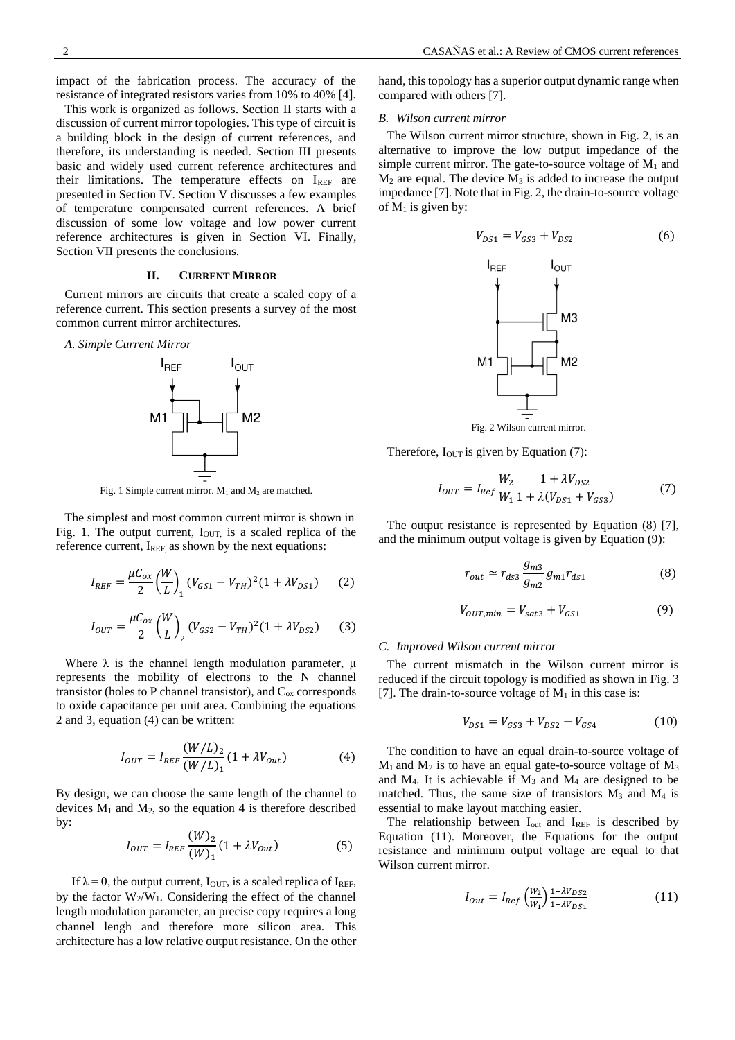impact of the fabrication process. The accuracy of the resistance of integrated resistors varies from 10% to 40% [4].

This work is organized as follows. Section II starts with a discussion of current mirror topologies. This type of circuit is a building block in the design of current references, and therefore, its understanding is needed. Section III presents basic and widely used current reference architectures and their limitations. The temperature effects on  $I_{REF}$  are presented in Section IV. Section V discusses a few examples of temperature compensated current references. A brief discussion of some low voltage and low power current reference architectures is given in Section VI. Finally, Section VII presents the conclusions.

## **II. CURRENT MIRROR**

Current mirrors are circuits that create a scaled copy of a reference current. This section presents a survey of the most common current mirror architectures.

*A. Simple Current Mirror*



Fig. 1 Simple current mirror.  $M_1$  and  $M_2$  are matched.

The simplest and most common current mirror is shown in Fig. 1. The output current,  $I_{\text{OUT}}$  is a scaled replica of the reference current, I<sub>REF</sub>, as shown by the next equations:

$$
I_{REF} = \frac{\mu C_{ox}}{2} \left(\frac{W}{L}\right)_1 (V_{GS1} - V_{TH})^2 (1 + \lambda V_{DS1})
$$
 (2)

$$
I_{OUT} = \frac{\mu C_{ox}}{2} \left(\frac{W}{L}\right)_2 (V_{GS2} - V_{TH})^2 (1 + \lambda V_{DS2})
$$
 (3)

Where  $\lambda$  is the channel length modulation parameter,  $\mu$ represents the mobility of electrons to the N channel transistor (holes to P channel transistor), and  $C_{ox}$  corresponds to oxide capacitance per unit area. Combining the equations 2 and 3, equation (4) can be written:

$$
I_{OUT} = I_{REF} \frac{(W/L)_2}{(W/L)_1} (1 + \lambda V_{Out})
$$
 (4)

By design, we can choose the same length of the channel to devices  $M_1$  and  $M_2$ , so the equation 4 is therefore described by:

$$
I_{OUT} = I_{REF} \frac{(W)_2}{(W)_1} (1 + \lambda V_{Out})
$$
 (5)

If  $\lambda = 0$ , the output current, I<sub>OUT</sub>, is a scaled replica of I<sub>REF</sub>, by the factor  $W_2/W_1$ . Considering the effect of the channel length modulation parameter, an precise copy requires a long channel lengh and therefore more silicon area. This architecture has a low relative output resistance. On the other

hand, this topology has a superior output dynamic range when compared with others [7].

#### *B. Wilson current mirror*

The Wilson current mirror structure, shown in Fig. 2, is an alternative to improve the low output impedance of the simple current mirror. The gate-to-source voltage of  $M_1$  and  $M<sub>2</sub>$  are equal. The device  $M<sub>3</sub>$  is added to increase the output impedance [7]. Note that in Fig. 2, the drain-to-source voltage of  $M_1$  is given by:

$$
V_{DS1} = V_{GS3} + V_{DS2} \tag{6}
$$



Fig. 2 Wilson current mirror.

Therefore,  $I_{\text{OUT}}$  is given by Equation (7):

$$
I_{OUT} = I_{Ref} \frac{W_2}{W_1} \frac{1 + \lambda V_{DS2}}{1 + \lambda (V_{DS1} + V_{GS3})}
$$
(7)

The output resistance is represented by Equation (8) [7], and the minimum output voltage is given by Equation (9):

$$
r_{out} \simeq r_{ds3} \frac{g_{m3}}{g_{m2}} g_{m1} r_{ds1}
$$
 (8)

$$
V_{OUT,min} = V_{sat3} + V_{GS1}
$$
 (9)

## *C. Improved Wilson current mirror*

The current mismatch in the Wilson current mirror is reduced if the circuit topology is modified as shown in Fig. 3 [7]. The drain-to-source voltage of  $M_1$  in this case is:

$$
V_{DS1} = V_{GS3} + V_{DS2} - V_{GS4}
$$
 (10)

The condition to have an equal drain-to-source voltage of  $M_1$  and  $M_2$  is to have an equal gate-to-source voltage of  $M_3$ and  $M_4$ . It is achievable if  $M_3$  and  $M_4$  are designed to be matched. Thus, the same size of transistors  $M_3$  and  $M_4$  is essential to make layout matching easier.

The relationship between I<sub>out</sub> and IREF is described by Equation (11). Moreover, the Equations for the output resistance and minimum output voltage are equal to that Wilson current mirror.

$$
I_{Out} = I_{Ref} \left(\frac{W_2}{W_1}\right) \frac{1 + \lambda V_{DS2}}{1 + \lambda V_{DS1}} \tag{11}
$$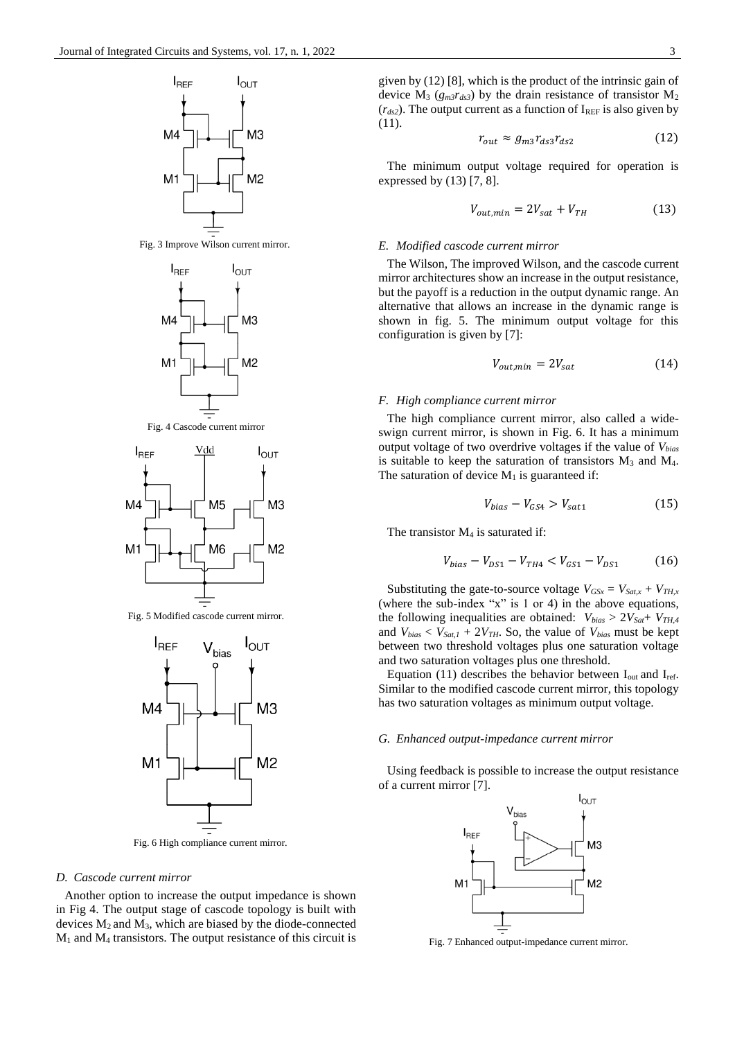









Fig. 5 Modified cascode current mirror.



Fig. 6 High compliance current mirror.

#### *D. Cascode current mirror*

Another option to increase the output impedance is shown in Fig 4. The output stage of cascode topology is built with devices  $M_2$  and  $M_3$ , which are biased by the diode-connected  $M_1$  and  $M_4$  transistors. The output resistance of this circuit is

given by (12) [8], which is the product of the intrinsic gain of device  $M_3$  ( $g_m$  $r_{ds3}$ ) by the drain resistance of transistor  $M_2$  $(r_{ds2})$ . The output current as a function of I<sub>REF</sub> is also given by (11).

$$
r_{out} \approx g_{m3} r_{ds3} r_{ds2} \tag{12}
$$

The minimum output voltage required for operation is expressed by  $(13)$  [7, 8].

$$
V_{out,min} = 2V_{sat} + V_{TH} \tag{13}
$$

## *E. Modified cascode current mirror*

The Wilson, The improved Wilson, and the cascode current mirror architectures show an increase in the output resistance, but the payoff is a reduction in the output dynamic range. An alternative that allows an increase in the dynamic range is shown in fig. 5. The minimum output voltage for this configuration is given by [7]:

$$
V_{out,min} = 2V_{sat} \tag{14}
$$

## *F. High compliance current mirror*

The high compliance current mirror, also called a wideswign current mirror, is shown in Fig. 6. It has a minimum output voltage of two overdrive voltages if the value of *Vbias* is suitable to keep the saturation of transistors  $M_3$  and  $M_4$ . The saturation of device  $M_1$  is guaranteed if:

$$
V_{bias} - V_{GS4} > V_{sat1} \tag{15}
$$

The transistor  $M_4$  is saturated if:

$$
V_{bias} - V_{DS1} - V_{TH4} < V_{GS1} - V_{DS1} \tag{16}
$$

Substituting the gate-to-source voltage  $V_{GSx} = V_{Sat, x} + V_{TH, x}$ (where the sub-index "x" is 1 or 4) in the above equations, the following inequalities are obtained: *Vbias* > 2*VSat*+ *VTH,4* and  $V_{bias} < V_{Sat,1} + 2V_{TH}$ . So, the value of  $V_{bias}$  must be kept between two threshold voltages plus one saturation voltage and two saturation voltages plus one threshold.

Equation (11) describes the behavior between  $I_{out}$  and  $I_{ref}$ . Similar to the modified cascode current mirror, this topology has two saturation voltages as minimum output voltage.

## *G. Enhanced output-impedance current mirror*

Using feedback is possible to increase the output resistance of a current mirror [7].



Fig. 7 Enhanced output-impedance current mirror.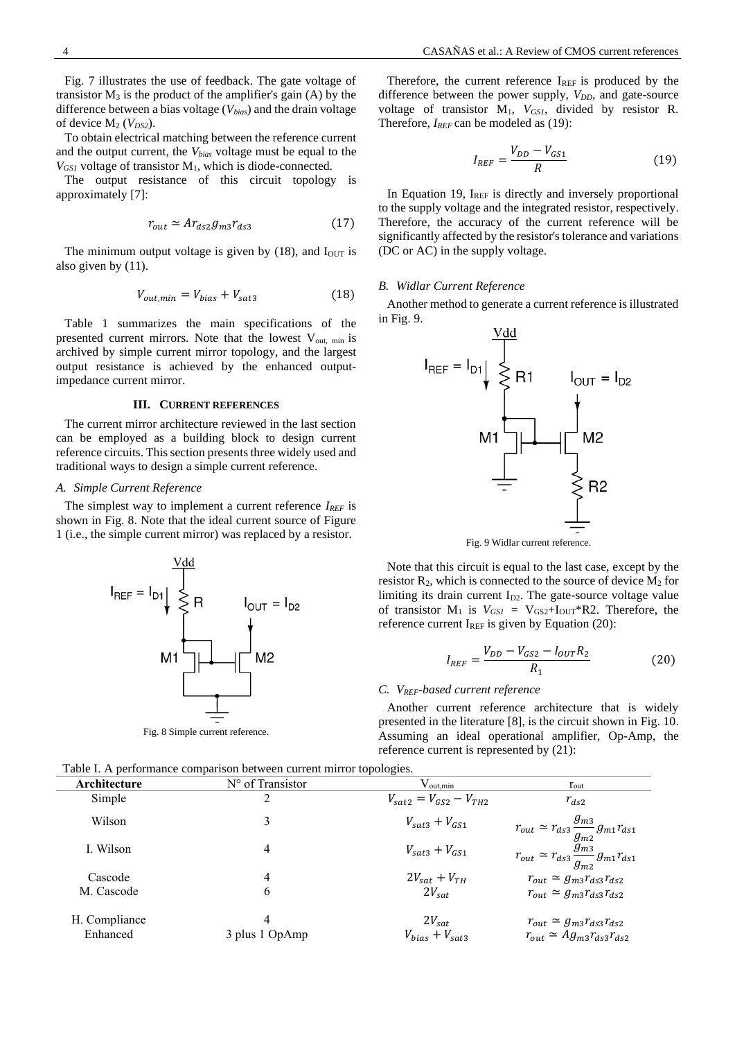Fig. 7 illustrates the use of feedback. The gate voltage of transistor  $M_3$  is the product of the amplifier's gain  $(A)$  by the difference between a bias voltage (*Vbias*) and the drain voltage of device  $M_2$  ( $V_{DS2}$ ).

To obtain electrical matching between the reference current and the output current, the *Vbias* voltage must be equal to the  $V_{GSI}$  voltage of transistor  $M<sub>1</sub>$ , which is diode-connected.

The output resistance of this circuit topology is approximately [7]:

$$
r_{out} \simeq Ar_{ds2}g_{m3}r_{ds3} \tag{17}
$$

The minimum output voltage is given by  $(18)$ , and  $I<sub>OUT</sub>$  is also given by (11).

$$
V_{out,min} = V_{bias} + V_{sat3}
$$
 (18)

Table 1 summarizes the main specifications of the presented current mirrors. Note that the lowest V<sub>out, min</sub> is archived by simple current mirror topology, and the largest output resistance is achieved by the enhanced outputimpedance current mirror.

## **III. CURRENT REFERENCES**

The current mirror architecture reviewed in the last section can be employed as a building block to design current reference circuits. This section presents three widely used and traditional ways to design a simple current reference.

#### *A. Simple Current Reference*

The simplest way to implement a current reference *IREF* is shown in Fig. 8. Note that the ideal current source of Figure 1 (i.e., the simple current mirror) was replaced by a resistor.



Fig. 8 Simple current reference.

Therefore, the current reference  $I_{REF}$  is produced by the difference between the power supply, *V<sub>DD</sub>*, and gate-source voltage of transistor M1, *VGS1*, divided by resistor R. Therefore, *IREF* can be modeled as (19):

$$
I_{REF} = \frac{V_{DD} - V_{GS1}}{R}
$$
 (19)

In Equation 19,  $I_{REF}$  is directly and inversely proportional to the supply voltage and the integrated resistor, respectively. Therefore, the accuracy of the current reference will be significantly affected by the resistor's tolerance and variations (DC or AC) in the supply voltage.

#### *B. Widlar Current Reference*

Another method to generate a current reference is illustrated in Fig. 9.



Fig. 9 Widlar current reference.

Note that this circuit is equal to the last case, except by the resistor  $R_2$ , which is connected to the source of device  $M_2$  for limiting its drain current  $I_{D2}$ . The gate-source voltage value of transistor  $M_1$  is  $V_{GSI} = V_{GS2} + I_{OUT} * R2$ . Therefore, the reference current  $I_{REF}$  is given by Equation (20):

$$
I_{REF} = \frac{V_{DD} - V_{GS2} - I_{OUT}R_2}{R_1}
$$
 (20)

#### *C. VREF-based current reference*

Another current reference architecture that is widely presented in the literature [8], is the circuit shown in Fig. 10. Assuming an ideal operational amplifier, Op-Amp, the reference current is represented by (21):

| Architecture  | $N^{\circ}$ of Transistor | $\rm V_{out,min}$                                   | $r_{\text{out}}$                                                           |  |  |  |
|---------------|---------------------------|-----------------------------------------------------|----------------------------------------------------------------------------|--|--|--|
| Simple        | 2                         | $V_{\text{sat2}} = V_{\text{GS2}} - V_{\text{TH2}}$ | $r_{ds2}$                                                                  |  |  |  |
| Wilson        | 3                         | $V_{\text{sat3}} + V_{\text{GS1}}$                  | $r_{out} \simeq r_{ds3} \frac{g_{m3}}{g_{m2}} g_{m1} r_{ds1}$              |  |  |  |
| I. Wilson     | 4                         | $V_{\text{sat3}} + V_{\text{GS1}}$                  | $r_{out} \simeq r_{ds3} \frac{\tilde{g}_{m3}^{m2}}{g_{m2}} g_{m1} r_{ds1}$ |  |  |  |
| Cascode       | 4                         | $2V_{sat} + V_{TH}$                                 | $r_{out} \simeq g_{m3} r_{ds3} r_{ds2}$                                    |  |  |  |
| M. Cascode    | 6                         | $2V_{sat}$                                          | $r_{out} \simeq g_{m3} r_{ds3} r_{ds2}$                                    |  |  |  |
| H. Compliance | 4                         | $2V_{sat}$                                          | $r_{out} \simeq g_{m3} r_{ds3} r_{ds2}$                                    |  |  |  |
| Enhanced      | 3 plus 1 OpAmp            | $V_{bias} + V_{sat3}$                               | $r_{out} \simeq Ag_{m3}r_{ds3}r_{ds2}$                                     |  |  |  |

Table I. A performance comparison between current mirror topologies.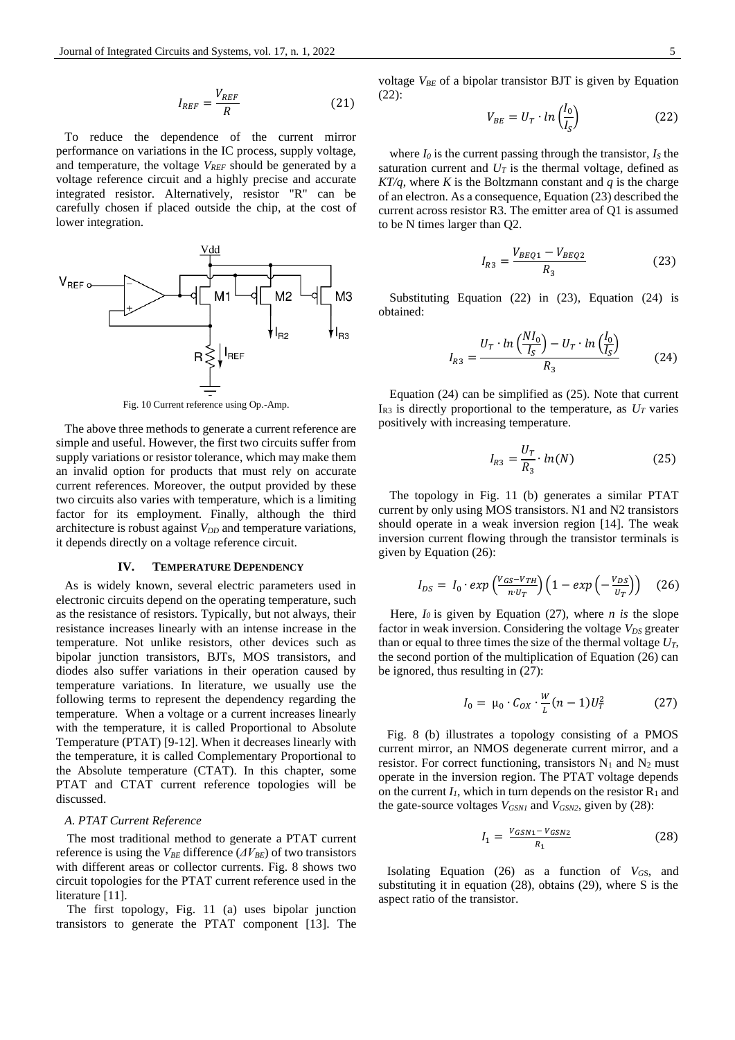$$
I_{REF} = \frac{V_{REF}}{R}
$$
 (21)

To reduce the dependence of the current mirror performance on variations in the IC process, supply voltage, and temperature, the voltage *VREF* should be generated by a voltage reference circuit and a highly precise and accurate integrated resistor. Alternatively, resistor "R" can be carefully chosen if placed outside the chip, at the cost of lower integration.



Fig. 10 Current reference using Op.-Amp.

The above three methods to generate a current reference are simple and useful. However, the first two circuits suffer from supply variations or resistor tolerance, which may make them an invalid option for products that must rely on accurate current references. Moreover, the output provided by these two circuits also varies with temperature, which is a limiting factor for its employment. Finally, although the third architecture is robust against *V<sub>DD</sub>* and temperature variations, it depends directly on a voltage reference circuit.

## **IV. TEMPERATURE DEPENDENCY**

As is widely known, several electric parameters used in electronic circuits depend on the operating temperature, such as the resistance of resistors. Typically, but not always, their resistance increases linearly with an intense increase in the temperature. Not unlike resistors, other devices such as bipolar junction transistors, BJTs, MOS transistors, and diodes also suffer variations in their operation caused by temperature variations. In literature, we usually use the following terms to represent the dependency regarding the temperature. When a voltage or a current increases linearly with the temperature, it is called Proportional to Absolute Temperature (PTAT) [9-12]. When it decreases linearly with the temperature, it is called Complementary Proportional to the Absolute temperature (CTAT). In this chapter, some PTAT and CTAT current reference topologies will be discussed.

## *A. PTAT Current Reference*

The most traditional method to generate a PTAT current reference is using the  $V_{BE}$  difference ( $\Delta V_{BE}$ ) of two transistors with different areas or collector currents. Fig. 8 shows two circuit topologies for the PTAT current reference used in the literature [11].

The first topology, Fig. 11 (a) uses bipolar junction transistors to generate the PTAT component [13]. The

voltage  $V_{BE}$  of a bipolar transistor BJT is given by Equation (22):

$$
V_{BE} = U_T \cdot \ln\left(\frac{I_0}{I_S}\right) \tag{22}
$$

where  $I_0$  is the current passing through the transistor,  $I_S$  the saturation current and  $U_T$  is the thermal voltage, defined as  $KT/q$ , where *K* is the Boltzmann constant and *q* is the charge of an electron. As a consequence, Equation (23) described the current across resistor R3. The emitter area of Q1 is assumed to be N times larger than Q2.

$$
I_{R3} = \frac{V_{BEQ1} - V_{BEQ2}}{R_3} \tag{23}
$$

Substituting Equation (22) in (23), Equation (24) is obtained:

$$
I_{R3} = \frac{U_T \cdot \ln\left(\frac{NI_0}{I_S}\right) - U_T \cdot \ln\left(\frac{I_0}{I_S}\right)}{R_3} \tag{24}
$$

Equation (24) can be simplified as (25). Note that current  $I_{R3}$  is directly proportional to the temperature, as  $U_T$  varies positively with increasing temperature.

$$
I_{R3} = \frac{U_T}{R_3} \cdot \ln(N) \tag{25}
$$

The topology in Fig. 11 (b) generates a similar PTAT current by only using MOS transistors. N1 and N2 transistors should operate in a weak inversion region [14]. The weak inversion current flowing through the transistor terminals is given by Equation (26):

$$
I_{DS} = I_0 \cdot exp\left(\frac{V_{GS} - V_{TH}}{n \cdot U_T}\right) \left(1 - exp\left(-\frac{V_{DS}}{U_T}\right)\right) \quad (26)
$$

Here, *I<sup>0</sup>* is given by Equation (27), where *n is* the slope factor in weak inversion. Considering the voltage  $V_{DS}$  greater than or equal to three times the size of the thermal voltage  $U_T$ , the second portion of the multiplication of Equation (26) can be ignored, thus resulting in (27):

$$
I_0 = \mu_0 \cdot C_{OX} \cdot \frac{W}{L}(n-1)U_T^2 \tag{27}
$$

Fig. 8 (b) illustrates a topology consisting of a PMOS current mirror, an NMOS degenerate current mirror, and a resistor. For correct functioning, transistors  $N_1$  and  $N_2$  must operate in the inversion region. The PTAT voltage depends on the current  $I_1$ , which in turn depends on the resistor  $R_1$  and the gate-source voltages  $V_{GSN1}$  and  $V_{GSN2}$ , given by (28):

$$
I_1 = \frac{V_{GSN1} - V_{GSN2}}{R_1} \tag{28}
$$

Isolating Equation (26) as a function of *VG*S, and substituting it in equation (28), obtains (29), where S is the aspect ratio of the transistor.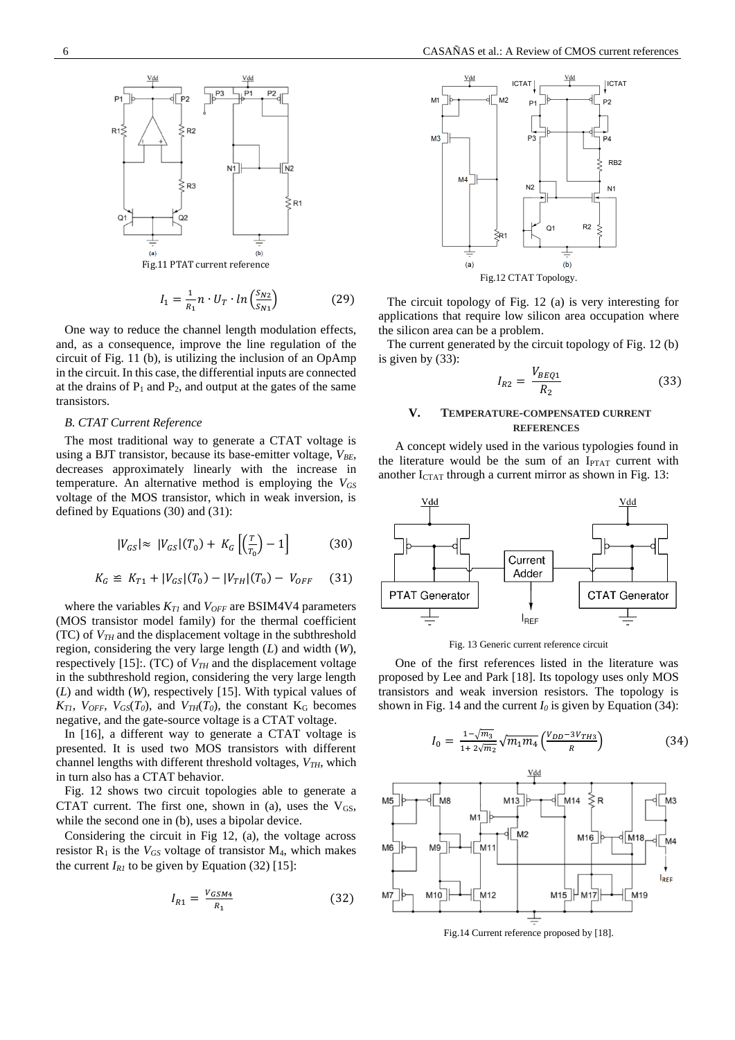

$$
I_1 = \frac{1}{R_1} n \cdot U_T \cdot \ln\left(\frac{S_{N2}}{S_{N1}}\right) \tag{29}
$$

One way to reduce the channel length modulation effects, and, as a consequence, improve the line regulation of the circuit of Fig. 11 (b), is utilizing the inclusion of an OpAmp in the circuit. In this case, the differential inputs are connected at the drains of  $P_1$  and  $P_2$ , and output at the gates of the same transistors.

#### *B. CTAT Current Reference*

The most traditional way to generate a CTAT voltage is using a BJT transistor, because its base-emitter voltage,  $V_{BF}$ , decreases approximately linearly with the increase in temperature. An alternative method is employing the *VGS* voltage of the MOS transistor, which in weak inversion, is defined by Equations (30) and (31):

$$
|V_{GS}| \approx |V_{GS}|(T_0) + K_G\left[\left(\frac{T}{T_0}\right) - 1\right] \tag{30}
$$

$$
K_G \cong K_{T1} + |V_{GS}|(T_0) - |V_{TH}|(T_0) - V_{OFF} \tag{31}
$$

where the variables *KT1* and *VOFF* are BSIM4V4 parameters (MOS transistor model family) for the thermal coefficient (TC) of *VTH* and the displacement voltage in the subthreshold region, considering the very large length (*L*) and width (*W*), respectively [15]:. (TC) of  $V_{TH}$  and the displacement voltage in the subthreshold region, considering the very large length (*L*) and width (*W*), respectively [15]. With typical values of  $K_{TI}$ ,  $V_{OFF}$ ,  $V_{GS}(T_0)$ , and  $V_{TH}(T_0)$ , the constant  $K_G$  becomes negative, and the gate-source voltage is a CTAT voltage.

In [16], a different way to generate a CTAT voltage is presented. It is used two MOS transistors with different channel lengths with different threshold voltages, *VTH*, which in turn also has a CTAT behavior.

Fig. 12 shows two circuit topologies able to generate a CTAT current. The first one, shown in (a), uses the  $V_{GS}$ , while the second one in (b), uses a bipolar device.

Considering the circuit in Fig 12, (a), the voltage across resistor  $R_1$  is the  $V_{GS}$  voltage of transistor  $M_4$ , which makes the current  $I_{RI}$  to be given by Equation (32) [15]:

$$
I_{R1} = \frac{V_{GSM4}}{R_1} \tag{32}
$$



The circuit topology of Fig. 12 (a) is very interesting for applications that require low silicon area occupation where the silicon area can be a problem.

The current generated by the circuit topology of Fig. 12 (b) is given by (33):

$$
I_{R2} = \frac{V_{BEQ1}}{R_2} \tag{33}
$$

## **V. TEMPERATURE-COMPENSATED CURRENT REFERENCES**

A concept widely used in the various typologies found in the literature would be the sum of an  $I_{\text{PTAT}}$  current with another  $I_{CTAT}$  through a current mirror as shown in Fig. 13:



Fig. 13 Generic current reference circuit

One of the first references listed in the literature was proposed by Lee and Park [18]. Its topology uses only MOS transistors and weak inversion resistors. The topology is shown in Fig. 14 and the current  $I_0$  is given by Equation (34):

$$
I_0 = \frac{1 - \sqrt{m_3}}{1 + 2\sqrt{m_2}} \sqrt{m_1 m_4} \left(\frac{V_{DD} - 3V_{TH3}}{R}\right) \tag{34}
$$



Fig.14 Current reference proposed by [18].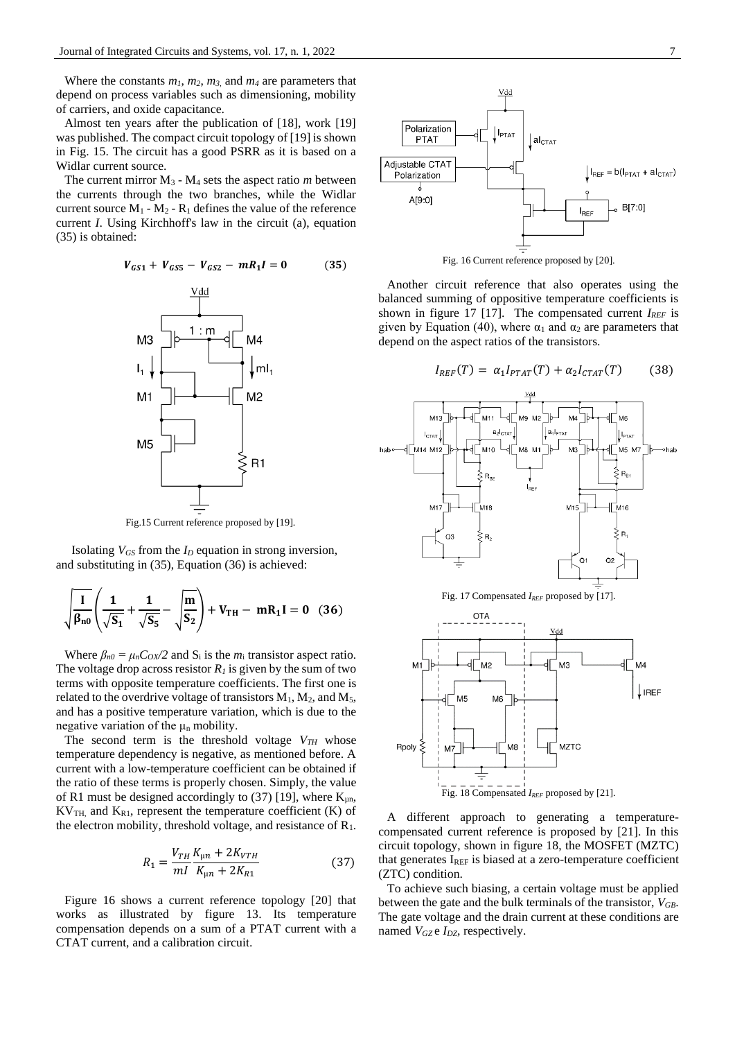Where the constants  $m_1$ ,  $m_2$ ,  $m_3$  and  $m_4$  are parameters that depend on process variables such as dimensioning, mobility of carriers, and oxide capacitance.

Almost ten years after the publication of [18], work [19] was published. The compact circuit topology of [19] is shown in Fig. 15. The circuit has a good PSRR as it is based on a Widlar current source.

The current mirror  $M_3$  -  $M_4$  sets the aspect ratio *m* between the currents through the two branches, while the Widlar current source  $M_1 - M_2 - R_1$  defines the value of the reference current *I*. Using Kirchhoff's law in the circuit (a), equation (35) is obtained:

$$
V_{GS1} + V_{GS5} - V_{GS2} - mR_1I = 0 \tag{35}
$$



Fig.15 Current reference proposed by [19].

Isolating  $V_{GS}$  from the  $I_D$  equation in strong inversion, and substituting in (35), Equation (36) is achieved:

$$
\sqrt{\frac{I}{\beta_{n0}}} \left( \frac{1}{\sqrt{S_1}} + \frac{1}{\sqrt{S_5}} - \sqrt{\frac{m}{S_2}} \right) + V_{TH} - mR_1 I = 0
$$
 (36)

Where  $\beta_{n0} = \mu_n C_0 x/2$  and  $S_i$  is the  $m_i$  transistor aspect ratio. The voltage drop across resistor  $R_I$  is given by the sum of two terms with opposite temperature coefficients. The first one is related to the overdrive voltage of transistors  $M_1$ ,  $M_2$ , and  $M_5$ , and has a positive temperature variation, which is due to the negative variation of the  $\mu_n$  mobility.

The second term is the threshold voltage *VTH* whose temperature dependency is negative, as mentioned before. A current with a low-temperature coefficient can be obtained if the ratio of these terms is properly chosen. Simply, the value of R1 must be designed accordingly to (37) [19], where  $K_{\mu n}$ ,  $KV_{TH}$  and  $K_{R1}$ , represent the temperature coefficient (K) of the electron mobility, threshold voltage, and resistance of  $R_1$ .

$$
R_1 = \frac{V_{TH}}{mI} \frac{K_{\mu n} + 2K_{VTH}}{K_{\mu n} + 2K_{R1}} \tag{37}
$$

Figure 16 shows a current reference topology [20] that works as illustrated by figure 13. Its temperature compensation depends on a sum of a PTAT current with a CTAT current, and a calibration circuit.



Another circuit reference that also operates using the balanced summing of oppositive temperature coefficients is shown in figure 17 [17]. The compensated current *IREF* is given by Equation (40), where  $\alpha_1$  and  $\alpha_2$  are parameters that

depend on the aspect ratios of the transistors.

$$
I_{REF}(T) = \alpha_1 I_{PTAT}(T) + \alpha_2 I_{CTAT}(T) \tag{38}
$$



Fig. 17 Compensated *IREF* proposed by [17].



A different approach to generating a temperaturecompensated current reference is proposed by [21]. In this circuit topology, shown in figure 18, the MOSFET (MZTC) that generates IREF is biased at a zero-temperature coefficient (ZTC) condition.

To achieve such biasing, a certain voltage must be applied between the gate and the bulk terminals of the transistor, *VGB*. The gate voltage and the drain current at these conditions are named *VGZ* e *IDZ*, respectively.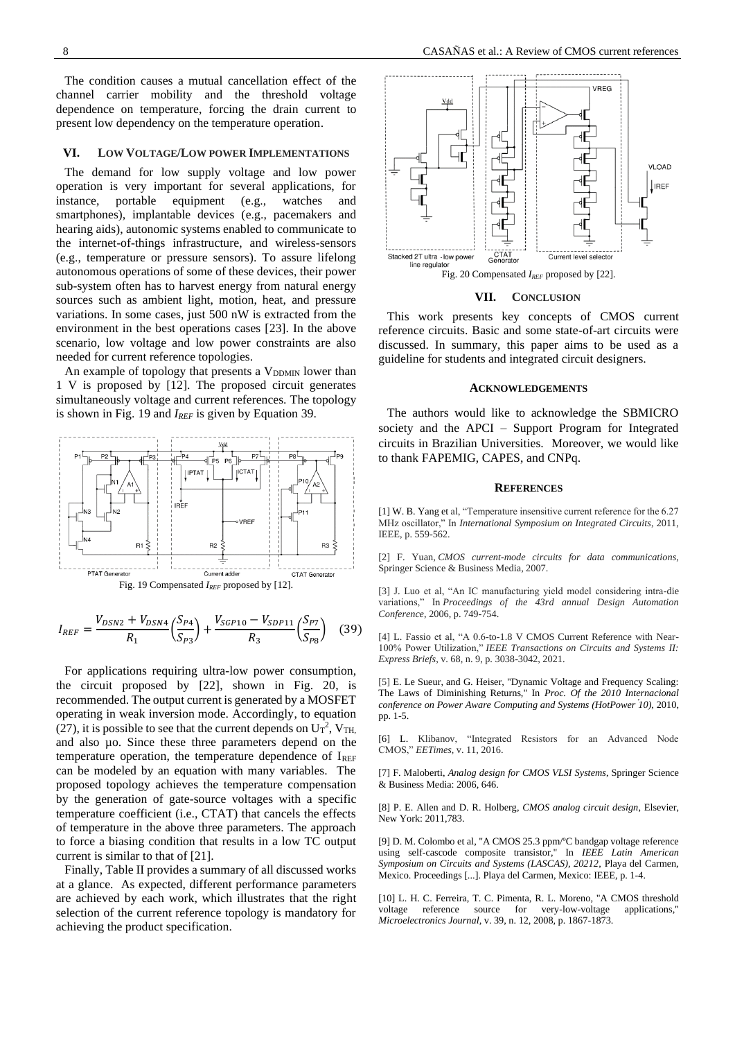The condition causes a mutual cancellation effect of the channel carrier mobility and the threshold voltage dependence on temperature, forcing the drain current to present low dependency on the temperature operation.

#### **VI. LOW VOLTAGE/LOW POWER IMPLEMENTATIONS**

The demand for low supply voltage and low power operation is very important for several applications, for instance, portable equipment (e.g., watches and smartphones), implantable devices (e.g., pacemakers and hearing aids), autonomic systems enabled to communicate to the internet-of-things infrastructure, and wireless-sensors (e.g., temperature or pressure sensors). To assure lifelong autonomous operations of some of these devices, their power sub-system often has to harvest energy from natural energy sources such as ambient light, motion, heat, and pressure variations. In some cases, just 500 nW is extracted from the environment in the best operations cases [23]. In the above scenario, low voltage and low power constraints are also needed for current reference topologies.

An example of topology that presents a  $V_{DDMIN}$  lower than 1 V is proposed by [12]. The proposed circuit generates simultaneously voltage and current references. The topology is shown in Fig. 19 and *IREF* is given by Equation 39.



$$
I_{REF} = \frac{V_{DSN2} + V_{DSN4}}{R_1} \left(\frac{S_{P4}}{S_{P3}}\right) + \frac{V_{SGP10} - V_{SDP11}}{R_3} \left(\frac{S_{P7}}{S_{P8}}\right) \tag{39}
$$

For applications requiring ultra-low power consumption, the circuit proposed by [22], shown in Fig. 20, is recommended. The output current is generated by a MOSFET operating in weak inversion mode. Accordingly, to equation (27), it is possible to see that the current depends on  $U_T^2$ ,  $V_{TH}$ , and also µo. Since these three parameters depend on the temperature operation, the temperature dependence of  $I_{REF}$ can be modeled by an equation with many variables. The proposed topology achieves the temperature compensation by the generation of gate-source voltages with a specific temperature coefficient (i.e., CTAT) that cancels the effects of temperature in the above three parameters. The approach to force a biasing condition that results in a low TC output current is similar to that of [21].

Finally, Table II provides a summary of all discussed works at a glance. As expected, different performance parameters are achieved by each work, which illustrates that the right selection of the current reference topology is mandatory for achieving the product specification.



#### **VII. CONCLUSION**

This work presents key concepts of CMOS current reference circuits. Basic and some state-of-art circuits were discussed. In summary, this paper aims to be used as a guideline for students and integrated circuit designers.

## **ACKNOWLEDGEMENTS**

The authors would like to acknowledge the SBMICRO society and the APCI – Support Program for Integrated circuits in Brazilian Universities. Moreover, we would like to thank FAPEMIG, CAPES, and CNPq.

#### **REFERENCES**

[1] W. B. Yang et al, "Temperature insensitive current reference for the 6.27 MHz oscillator," In *International Symposium on Integrated Circuits*, 2011, IEEE, p. 559-562.

[2] F. Yuan, *CMOS current-mode circuits for data communications*, Springer Science & Business Media, 2007.

[3] J. Luo et al, "An IC manufacturing yield model considering intra-die variations," In *Proceedings of the 43rd annual Design Automation Conference*, 2006, p. 749-754.

[4] L. Fassio et al, "A 0.6-to-1.8 V CMOS Current Reference with Near-100% Power Utilization," *IEEE Transactions on Circuits and Systems II: Express Briefs*, v. 68, n. 9, p. 3038-3042, 2021.

[5] E. Le Sueur, and G. Heiser, "Dynamic Voltage and Frequency Scaling: The Laws of Diminishing Returns," In *Proc. Of the 2010 Internacional conference on Power Aware Computing and Systems (HotPower ́10)*, 2010, pp. 1-5.

[6] L. Klibanov, "Integrated Resistors for an Advanced Node CMOS," *EETimes*, v. 11, 2016.

[7] F. Maloberti, *Analog design for CMOS VLSI Systems*, Springer Science & Business Media: 2006, 646.

[8] P. E. Allen and D. R. Holberg, *CMOS analog circuit design*, Elsevier, New York: 2011,783.

[9] D. M. Colombo et al, "A CMOS 25.3 ppm/ºC bandgap voltage reference using self-cascode composite transistor," In *IEEE Latin American Symposium on Circuits and Systems (LASCAS), 20212*, Playa del Carmen, Mexico. Proceedings [...]. Playa del Carmen, Mexico: IEEE, p. 1-4.

[10] L. H. C. Ferreira, T. C. Pimenta, R. L. Moreno, "A CMOS threshold voltage reference source for very-low-voltage applications," *Microelectronics Journal*, v. 39, n. 12, 2008, p. 1867-1873.